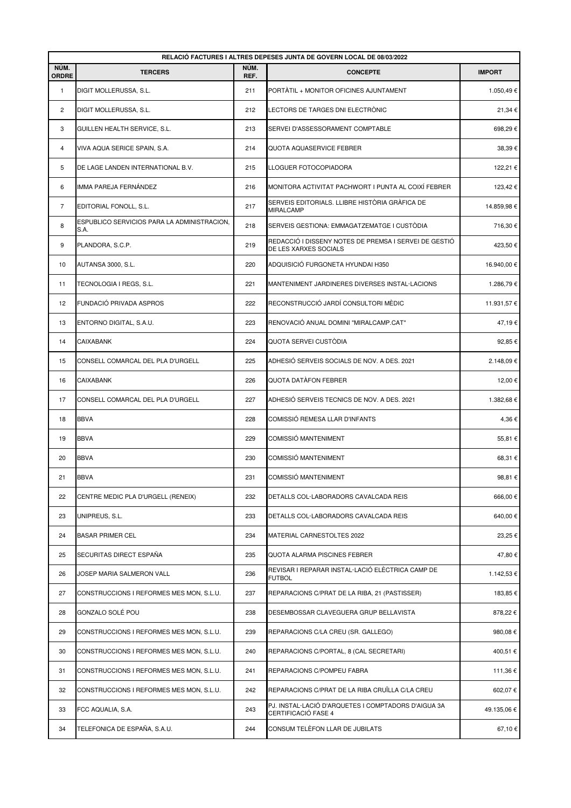| RELACIÓ FACTURES I ALTRES DEPESES JUNTA DE GOVERN LOCAL DE 08/03/2022 |                                                     |              |                                                                                |               |  |  |  |
|-----------------------------------------------------------------------|-----------------------------------------------------|--------------|--------------------------------------------------------------------------------|---------------|--|--|--|
| NÚM.<br>ORDRE                                                         | <b>TERCERS</b>                                      | NÚM.<br>REF. | <b>CONCEPTE</b>                                                                | <b>IMPORT</b> |  |  |  |
| 1                                                                     | DIGIT MOLLERUSSA, S.L.                              | 211          | PORTÀTIL + MONITOR OFICINES AJUNTAMENT                                         | 1.050,49€     |  |  |  |
| 2                                                                     | DIGIT MOLLERUSSA, S.L.                              | 212          | LECTORS DE TARGES DNI ELECTRÒNIC                                               | 21,34€        |  |  |  |
| 3                                                                     | GUILLEN HEALTH SERVICE, S.L.                        | 213          | SERVEI D'ASSESSORAMENT COMPTABLE                                               | 698,29€       |  |  |  |
| $\overline{4}$                                                        | VIVA AQUA SERICE SPAIN, S.A.                        | 214          | QUOTA AQUASERVICE FEBRER                                                       | 38,39€        |  |  |  |
| 5                                                                     | DE LAGE LANDEN INTERNATIONAL B.V.                   | 215          | LLOGUER FOTOCOPIADORA                                                          | 122,21€       |  |  |  |
| 6                                                                     | IMMA PAREJA FERNÁNDEZ                               | 216          | MONITORA ACTIVITAT PACHWORT I PUNTA AL COIXÍ FEBRER                            | 123,42€       |  |  |  |
| $\overline{7}$                                                        | EDITORIAL FONOLL, S.L.                              | 217          | SERVEIS EDITORIALS. LLIBRE HISTÒRIA GRÀFICA DE<br>MIRALCAMP                    | 14.859,98 €   |  |  |  |
| 8                                                                     | ESPUBLICO SERVICIOS PARA LA ADMINISTRACION,<br>S.A. | 218          | SERVEIS GESTIONA: EMMAGATZEMATGE I CUSTÒDIA                                    | 716,30€       |  |  |  |
| 9                                                                     | PLANDORA, S.C.P.                                    | 219          | REDACCIÓ I DISSENY NOTES DE PREMSA I SERVEI DE GESTIÓ<br>DE LES XARXES SOCIALS | 423,50€       |  |  |  |
| 10                                                                    | AUTANSA 3000, S.L.                                  | 220          | ADQUISICIÓ FURGONETA HYUNDAI H350                                              | 16.940,00 €   |  |  |  |
| 11                                                                    | TECNOLOGIA I REGS, S.L.                             | 221          | MANTENIMENT JARDINERES DIVERSES INSTAL·LACIONS                                 | 1.286,79€     |  |  |  |
| 12                                                                    | FUNDACIÓ PRIVADA ASPROS                             | 222          | RECONSTRUCCIÓ JARDÍ CONSULTORI MÈDIC                                           | 11.931,57€    |  |  |  |
| 13                                                                    | ENTORNO DIGITAL, S.A.U.                             | 223          | RENOVACIÓ ANUAL DOMINI "MIRALCAMP.CAT"                                         | 47,19€        |  |  |  |
| 14                                                                    | <b>CAIXABANK</b>                                    | 224          | QUOTA SERVEI CUSTÒDIA                                                          | 92,85€        |  |  |  |
| 15                                                                    | CONSELL COMARCAL DEL PLA D'URGELL                   | 225          | ADHESIÓ SERVEIS SOCIALS DE NOV. A DES. 2021                                    | 2.148,09€     |  |  |  |
| 16                                                                    | <b>CAIXABANK</b>                                    | 226          | QUOTA DATÀFON FEBRER                                                           | 12,00€        |  |  |  |
| 17                                                                    | CONSELL COMARCAL DEL PLA D'URGELL                   | 227          | ADHESIÓ SERVEIS TECNICS DE NOV. A DES. 2021                                    | 1.382,68€     |  |  |  |
| 18                                                                    | <b>BBVA</b>                                         | 228          | COMISSIÓ REMESA LLAR D'INFANTS                                                 | 4,36€         |  |  |  |
| 19                                                                    | <b>BBVA</b>                                         | 229          | COMISSIÓ MANTENIMENT                                                           | 55,81€        |  |  |  |
| 20                                                                    | <b>BBVA</b>                                         | 230          | COMISSIÓ MANTENIMENT                                                           | 68,31 €       |  |  |  |
| 21                                                                    | <b>BBVA</b>                                         | 231          | <b>COMISSIÓ MANTENIMENT</b>                                                    | 98,81€        |  |  |  |
| 22                                                                    | CENTRE MEDIC PLA D'URGELL (RENEIX)                  | 232          | DETALLS COL·LABORADORS CAVALCADA REIS                                          | 666,00€       |  |  |  |
| 23                                                                    | UNIPREUS, S.L.                                      | 233          | DETALLS COL·LABORADORS CAVALCADA REIS                                          | 640,00 €      |  |  |  |
| 24                                                                    | <b>BASAR PRIMER CEL</b>                             | 234          | MATERIAL CARNESTOLTES 2022                                                     | 23,25 €       |  |  |  |
| 25                                                                    | SECURITAS DIRECT ESPAÑA                             | 235          | QUOTA ALARMA PISCINES FEBRER                                                   | 47,80€        |  |  |  |
| 26                                                                    | JOSEP MARIA SALMERON VALL                           | 236          | REVISAR I REPARAR INSTAL·LACIÓ ELÈCTRICA CAMP DE<br><b>FUTBOL</b>              | 1.142,53 €    |  |  |  |
| 27                                                                    | CONSTRUCCIONS I REFORMES MES MON, S.L.U.            | 237          | REPARACIONS C/PRAT DE LA RIBA, 21 (PASTISSER)                                  | 183,85€       |  |  |  |
| 28                                                                    | GONZALO SOLÉ POU                                    | 238          | DESEMBOSSAR CLAVEGUERA GRUP BELLAVISTA                                         | 878,22€       |  |  |  |
| 29                                                                    | CONSTRUCCIONS I REFORMES MES MON, S.L.U.            | 239          | REPARACIONS C/LA CREU (SR. GALLEGO)                                            | 980,08€       |  |  |  |
| 30                                                                    | CONSTRUCCIONS I REFORMES MES MON, S.L.U.            | 240          | REPARACIONS C/PORTAL, 8 (CAL SECRETARI)                                        | 400,51 €      |  |  |  |
| 31                                                                    | CONSTRUCCIONS I REFORMES MES MON, S.L.U.            | 241          | REPARACIONS C/POMPEU FABRA                                                     | 111,36 €      |  |  |  |
| 32                                                                    | CONSTRUCCIONS I REFORMES MES MON, S.L.U.            | 242          | REPARACIONS C/PRAT DE LA RIBA CRUÏLLA C/LA CREU                                | 602,07€       |  |  |  |
| 33                                                                    | FCC AQUALIA, S.A.                                   | 243          | PJ. INSTAL·LACIÓ D'ARQUETES I COMPTADORS D'AIGUA 3A<br>CERTIFICACIÓ FASE 4     | 49.135,06 €   |  |  |  |
| 34                                                                    | TELEFONICA DE ESPAÑA, S.A.U.                        | 244          | CONSUM TELÈFON LLAR DE JUBILATS                                                | 67,10€        |  |  |  |